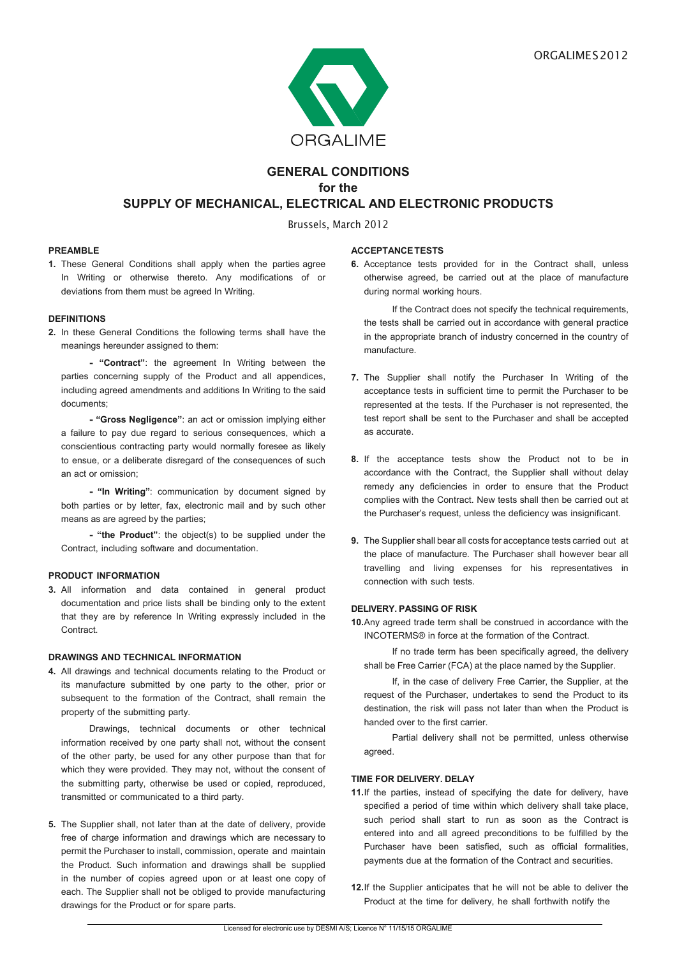

# **GENERAL CONDITIONS for the SUPPLY OF MECHANICAL, ELECTRICAL AND ELECTRONIC PRODUCTS**

Brussels, March 2012

## **PREAMBLE**

**1.** These General Conditions shall apply when the parties agree In Writing or otherwise thereto. Any modifications of or deviations from them must be agreed In Writing.

# **DEFINITIONS**

**2.** In these General Conditions the following terms shall have the meanings hereunder assigned to them:

**- "Contract"**: the agreement In Writing between the parties concerning supply of the Product and all appendices, including agreed amendments and additions In Writing to the said documents;

**- "Gross Negligence"**: an act or omission implying either a failure to pay due regard to serious consequences, which a conscientious contracting party would normally foresee as likely to ensue, or a deliberate disregard of the consequences of such an act or omission;

**- "In Writing"**: communication by document signed by both parties or by letter, fax, electronic mail and by such other means as are agreed by the parties;

**- "the Product"**: the object(s) to be supplied under the Contract, including software and documentation.

## **PRODUCT INFORMATION**

**3.** All information and data contained in general product documentation and price lists shall be binding only to the extent that they are by reference In Writing expressly included in the **Contract.** 

## **DRAWINGS AND TECHNICAL INFORMATION**

**4.** All drawings and technical documents relating to the Product or its manufacture submitted by one party to the other, prior or subsequent to the formation of the Contract, shall remain the property of the submitting party.

Drawings, technical documents or other technical information received by one party shall not, without the consent of the other party, be used for any other purpose than that for which they were provided. They may not, without the consent of the submitting party, otherwise be used or copied, reproduced, transmitted or communicated to a third party.

**5.** The Supplier shall, not later than at the date of delivery, provide free of charge information and drawings which are necessary to permit the Purchaser to install, commission, operate and maintain the Product. Such information and drawings shall be supplied in the number of copies agreed upon or at least one copy of each. The Supplier shall not be obliged to provide manufacturing drawings for the Product or for spare parts.

## **ACCEPTANCE TESTS**

**6.** Acceptance tests provided for in the Contract shall, unless otherwise agreed, be carried out at the place of manufacture during normal working hours.

If the Contract does not specify the technical requirements, the tests shall be carried out in accordance with general practice in the appropriate branch of industry concerned in the country of manufacture.

- **7.** The Supplier shall notify the Purchaser In Writing of the acceptance tests in sufficient time to permit the Purchaser to be represented at the tests. If the Purchaser is not represented, the test report shall be sent to the Purchaser and shall be accepted as accurate.
- **8.** If the acceptance tests show the Product not to be in accordance with the Contract, the Supplier shall without delay remedy any deficiencies in order to ensure that the Product complies with the Contract. New tests shall then be carried out at the Purchaser's request, unless the deficiency was insignificant.
- **9.** The Supplier shall bear all costs for acceptance tests carried out at the place of manufacture. The Purchaser shall however bear all travelling and living expenses for his representatives in connection with such tests.

## **DELIVERY. PASSING OF RISK**

**10.** Any agreed trade term shall be construed in accordance with the INCOTERMS® in force at the formation of the Contract.

If no trade term has been specifically agreed, the delivery shall be Free Carrier (FCA) at the place named by the Supplier.

If, in the case of delivery Free Carrier, the Supplier, at the request of the Purchaser, undertakes to send the Product to its destination, the risk will pass not later than when the Product is handed over to the first carrier.

Partial delivery shall not be permitted, unless otherwise agreed.

## **TIME FOR DELIVERY. DELAY**

11. If the parties, instead of specifying the date for delivery, have specified a period of time within which delivery shall take place, such period shall start to run as soon as the Contract is entered into and all agreed preconditions to be fulfilled by the Purchaser have been satisfied, such as official formalities, payments due at the formation of the Contract and securities.

12. If the Supplier anticipates that he will not be able to deliver the Product at the time for delivery, he shall forthwith notify the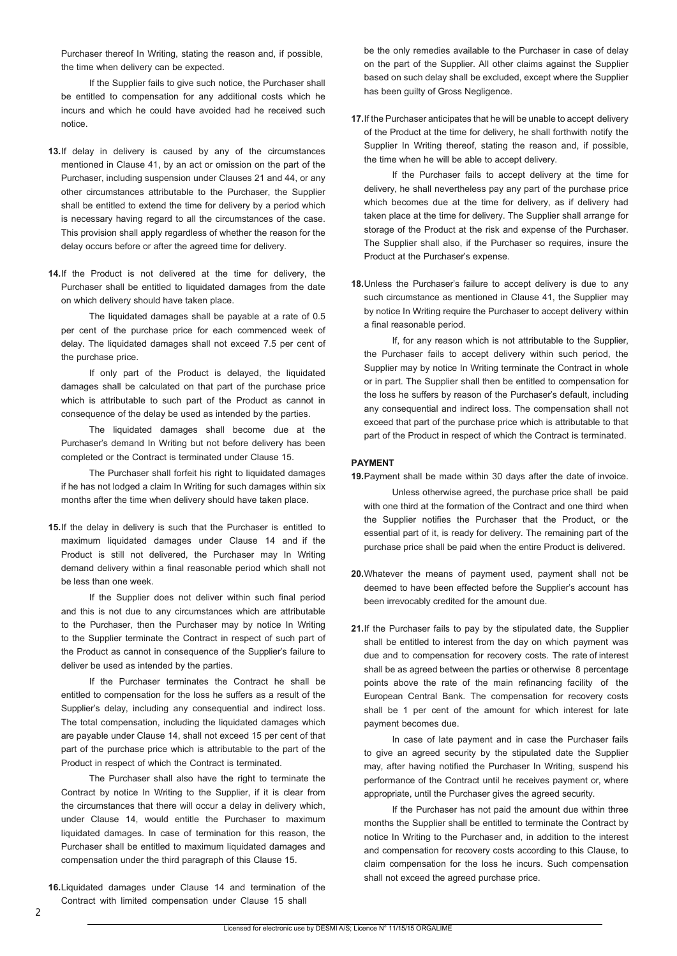Purchaser thereof In Writing, stating the reason and, if possible, the time when delivery can be expected.

If the Supplier fails to give such notice, the Purchaser shall be entitled to compensation for any additional costs which he incurs and which he could have avoided had he received such notice.

- **13.** If delay in delivery is caused by any of the circumstances mentioned in Clause 41, by an act or omission on the part of the Purchaser, including suspension under Clauses 21 and 44, or any other circumstances attributable to the Purchaser, the Supplier shall be entitled to extend the time for delivery by a period which is necessary having regard to all the circumstances of the case. This provision shall apply regardless of whether the reason for the delay occurs before or after the agreed time for delivery.
- **14.** If the Product is not delivered at the time for delivery, the Purchaser shall be entitled to liquidated damages from the date on which delivery should have taken place.

The liquidated damages shall be payable at a rate of 0.5 per cent of the purchase price for each commenced week of delay. The liquidated damages shall not exceed 7.5 per cent of the purchase price.

If only part of the Product is delayed, the liquidated damages shall be calculated on that part of the purchase price which is attributable to such part of the Product as cannot in consequence of the delay be used as intended by the parties.

The liquidated damages shall become due at the Purchaser's demand In Writing but not before delivery has been completed or the Contract is terminated under Clause 15.

The Purchaser shall forfeit his right to liquidated damages if he has not lodged a claim In Writing for such damages within six months after the time when delivery should have taken place.

**15. If the delay in delivery is such that the Purchaser is entitled to** maximum liquidated damages under Clause 14 and if the Product is still not delivered, the Purchaser may In Writing demand delivery within a final reasonable period which shall not be less than one week.

If the Supplier does not deliver within such final period and this is not due to any circumstances which are attributable to the Purchaser, then the Purchaser may by notice In Writing to the Supplier terminate the Contract in respect of such part of the Product as cannot in consequence of the Supplier's failure to deliver be used as intended by the parties.

If the Purchaser terminates the Contract he shall be entitled to compensation for the loss he suffers as a result of the Supplier's delay, including any consequential and indirect loss. The total compensation, including the liquidated damages which are payable under Clause 14, shall not exceed 15 per cent of that part of the purchase price which is attributable to the part of the Product in respect of which the Contract is terminated.

The Purchaser shall also have the right to terminate the Contract by notice In Writing to the Supplier, if it is clear from the circumstances that there will occur a delay in delivery which, under Clause 14, would entitle the Purchaser to maximum liquidated damages. In case of termination for this reason, the Purchaser shall be entitled to maximum liquidated damages and compensation under the third paragraph of this Clause 15.

**16.** Liquidated damages under Clause 14 and termination of the Contract with limited compensation under Clause 15 shall

be the only remedies available to the Purchaser in case of delay on the part of the Supplier. All other claims against the Supplier based on such delay shall be excluded, except where the Supplier has been guilty of Gross Negligence.

**17.** If the Purchaser anticipates that he will be unable to accept delivery of the Product at the time for delivery, he shall forthwith notify the Supplier In Writing thereof, stating the reason and, if possible, the time when he will be able to accept delivery.

If the Purchaser fails to accept delivery at the time for delivery, he shall nevertheless pay any part of the purchase price which becomes due at the time for delivery, as if delivery had taken place at the time for delivery. The Supplier shall arrange for storage of the Product at the risk and expense of the Purchaser. The Supplier shall also, if the Purchaser so requires, insure the Product at the Purchaser's expense.

**18.** Unless the Purchaser's failure to accept delivery is due to any such circumstance as mentioned in Clause 41, the Supplier may by notice In Writing require the Purchaser to accept delivery within a final reasonable period.

If, for any reason which is not attributable to the Supplier, the Purchaser fails to accept delivery within such period, the Supplier may by notice In Writing terminate the Contract in whole or in part. The Supplier shall then be entitled to compensation for the loss he suffers by reason of the Purchaser's default, including any consequential and indirect loss. The compensation shall not exceed that part of the purchase price which is attributable to that part of the Product in respect of which the Contract is terminated.

#### **PAYMENT**

- 19. Payment shall be made within 30 days after the date of invoice. Unless otherwise agreed, the purchase price shall be paid with one third at the formation of the Contract and one third when the Supplier notifies the Purchaser that the Product, or the essential part of it, is ready for delivery. The remaining part of the purchase price shall be paid when the entire Product is delivered.
- **20.** Whatever the means of payment used, payment shall not be deemed to have been effected before the Supplier's account has been irrevocably credited for the amount due.
- 21. If the Purchaser fails to pay by the stipulated date, the Supplier shall be entitled to interest from the day on which payment was due and to compensation for recovery costs. The rate of interest shall be as agreed between the parties or otherwise 8 percentage points above the rate of the main refinancing facility of the European Central Bank. The compensation for recovery costs shall be 1 per cent of the amount for which interest for late payment becomes due.

In case of late payment and in case the Purchaser fails to give an agreed security by the stipulated date the Supplier may, after having notified the Purchaser In Writing, suspend his performance of the Contract until he receives payment or, where appropriate, until the Purchaser gives the agreed security.

If the Purchaser has not paid the amount due within three months the Supplier shall be entitled to terminate the Contract by notice In Writing to the Purchaser and, in addition to the interest and compensation for recovery costs according to this Clause, to claim compensation for the loss he incurs. Such compensation shall not exceed the agreed purchase price.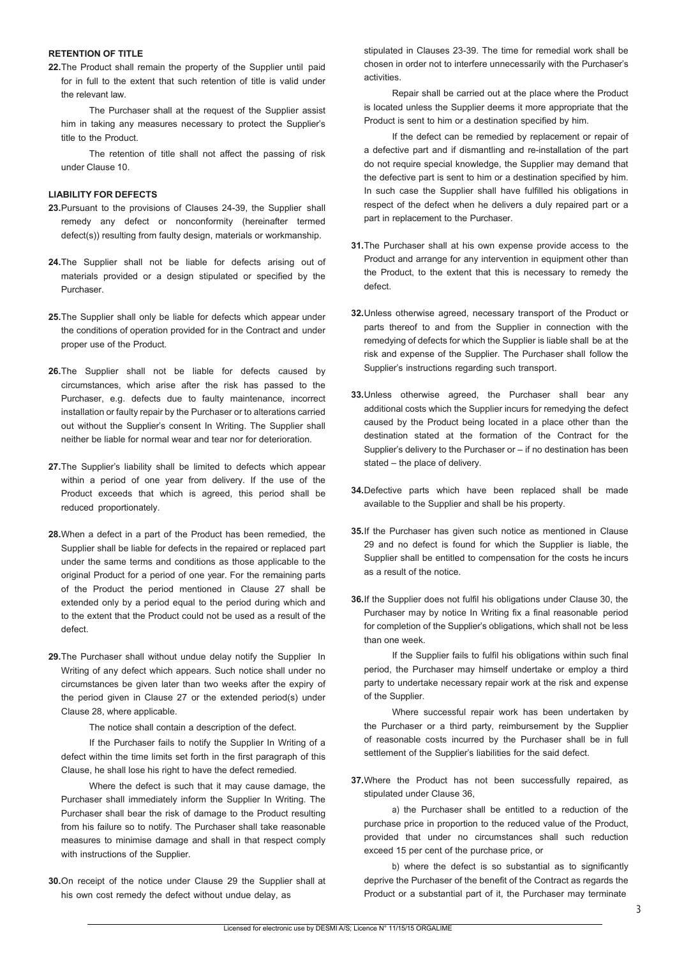#### **RETENTION OF TITLE**

**22.** The Product shall remain the property of the Supplier until paid for in full to the extent that such retention of title is valid under the relevant law.

The Purchaser shall at the request of the Supplier assist him in taking any measures necessary to protect the Supplier's title to the Product.

The retention of title shall not affect the passing of risk under Clause 10.

#### **LIABILITY FOR DEFECTS**

- 23. Pursuant to the provisions of Clauses 24-39, the Supplier shall remedy any defect or nonconformity (hereinafter termed defect(s)) resulting from faulty design, materials or workmanship.
- **24.** The Supplier shall not be liable for defects arising out of materials provided or a design stipulated or specified by the Purchaser.
- **25.** The Supplier shall only be liable for defects which appear under the conditions of operation provided for in the Contract and under proper use of the Product.
- **26.** The Supplier shall not be liable for defects caused by circumstances, which arise after the risk has passed to the Purchaser, e.g. defects due to faulty maintenance, incorrect installation or faulty repair by the Purchaser or to alterations carried out without the Supplier's consent In Writing. The Supplier shall neither be liable for normal wear and tear nor for deterioration.
- **27.** The Supplier's liability shall be limited to defects which appear within a period of one year from delivery. If the use of the Product exceeds that which is agreed, this period shall be reduced proportionately.
- **28.** When a defect in a part of the Product has been remedied, the Supplier shall be liable for defects in the repaired or replaced part under the same terms and conditions as those applicable to the original Product for a period of one year. For the remaining parts of the Product the period mentioned in Clause 27 shall be extended only by a period equal to the period during which and to the extent that the Product could not be used as a result of the defect.
- **29.** The Purchaser shall without undue delay notify the Supplier In Writing of any defect which appears. Such notice shall under no circumstances be given later than two weeks after the expiry of the period given in Clause 27 or the extended period(s) under Clause 28, where applicable.

The notice shall contain a description of the defect.

If the Purchaser fails to notify the Supplier In Writing of a defect within the time limits set forth in the first paragraph of this Clause, he shall lose his right to have the defect remedied.

Where the defect is such that it may cause damage, the Purchaser shall immediately inform the Supplier In Writing. The Purchaser shall bear the risk of damage to the Product resulting from his failure so to notify. The Purchaser shall take reasonable measures to minimise damage and shall in that respect comply with instructions of the Supplier.

**30.** On receipt of the notice under Clause 29 the Supplier shall at his own cost remedy the defect without undue delay, as

stipulated in Clauses 23-39. The time for remedial work shall be chosen in order not to interfere unnecessarily with the Purchaser's activities.

Repair shall be carried out at the place where the Product is located unless the Supplier deems it more appropriate that the Product is sent to him or a destination specified by him.

If the defect can be remedied by replacement or repair of a defective part and if dismantling and re-installation of the part do not require special knowledge, the Supplier may demand that the defective part is sent to him or a destination specified by him. In such case the Supplier shall have fulfilled his obligations in respect of the defect when he delivers a duly repaired part or a part in replacement to the Purchaser.

- **31.** The Purchaser shall at his own expense provide access to the Product and arrange for any intervention in equipment other than the Product, to the extent that this is necessary to remedy the defect.
- **32.** Unless otherwise agreed, necessary transport of the Product or parts thereof to and from the Supplier in connection with the remedying of defects for which the Supplier is liable shall be at the risk and expense of the Supplier. The Purchaser shall follow the Supplier's instructions regarding such transport.
- **33.** Unless otherwise agreed, the Purchaser shall bear any additional costs which the Supplier incurs for remedying the defect caused by the Product being located in a place other than the destination stated at the formation of the Contract for the Supplier's delivery to the Purchaser or – if no destination has been stated – the place of delivery.
- **34.** Defective parts which have been replaced shall be made available to the Supplier and shall be his property.
- **35.** If the Purchaser has given such notice as mentioned in Clause 29 and no defect is found for which the Supplier is liable, the Supplier shall be entitled to compensation for the costs he incurs as a result of the notice.
- **36.** If the Supplier does not fulfil his obligations under Clause 30, the Purchaser may by notice In Writing fix a final reasonable period for completion of the Supplier's obligations, which shall not be less than one week.

If the Supplier fails to fulfil his obligations within such final period, the Purchaser may himself undertake or employ a third party to undertake necessary repair work at the risk and expense of the Supplier.

Where successful repair work has been undertaken by the Purchaser or a third party, reimbursement by the Supplier of reasonable costs incurred by the Purchaser shall be in full settlement of the Supplier's liabilities for the said defect.

**37.** Where the Product has not been successfully repaired, as stipulated under Clause 36,

a) the Purchaser shall be entitled to a reduction of the purchase price in proportion to the reduced value of the Product, provided that under no circumstances shall such reduction exceed 15 per cent of the purchase price, or

b) where the defect is so substantial as to significantly deprive the Purchaser of the benefit of the Contract as regards the Product or a substantial part of it, the Purchaser may terminate